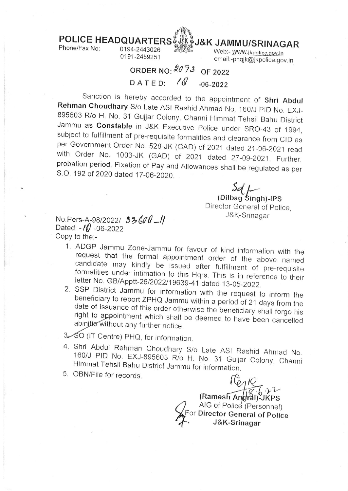

POLICE HEADQUARTERS JEK JAMMU/SRINAGAR<br>Phone/Fax No: 0194-2443026

0191-2459251

Web:- www.jkpolice.gov.in email:-phqjk@jkpolice.gov.in

## ORDER NO:  $2073$  OF 2022 DATED:  $\sqrt{Q}$  -06-2022

Sanction is hereby accorded to the appointment of **Shri Abdul**<br>**Rehman Choudhary** S/o Late ASI Rashid Ahmad No. 160/J PID No. EXJ-<br>895603 R/o H. No. 31 Gujjar Colony, Channi Himmat Tehsil Bahu District<br>Jammu as **Constable** 

 $5d$   $\vdash$ (Dilbag Singh)-IPS Director General of Police,<br>J&K-Srinagar

J&K-Srinagar No Pers-A-98/2022l tbk0 -tl Dated:  $-10 - 06 - 2022$ Copy to the:-

- 1. ADGP Jammu Zone-Jammu for favour of kind information with the request that the formal appointment order of the above named<br>candidate may kindly be issued after fulfillment of pre-requisite
- formalities under intimation to this Hqrs. This is in reference to their<br>letter No. GB/Apptt-26/2022/19639-41 dated 13-05-2022.<br>2. SSP District Jammu for information with the request to inform the<br>beneficiary to report ZPH
- 3. SO (IT Centre) PHQ, for information.
- 4. Shri Abdul Rehman Choudhary S/o Late ASI Rashid Ahmad No.<br>160/J PID No. EXJ-895603 R/o H. No. 31 Gujjar Colony, Channi<br>Himmat Tehsil Bahu District Jammu for information.
- 5. OBN/File for records.

(Ramesh An*g*ral)-ัJKPS AIG of Poli (Personnel) For Director General of Police  $.22$ J&K-Srinagar